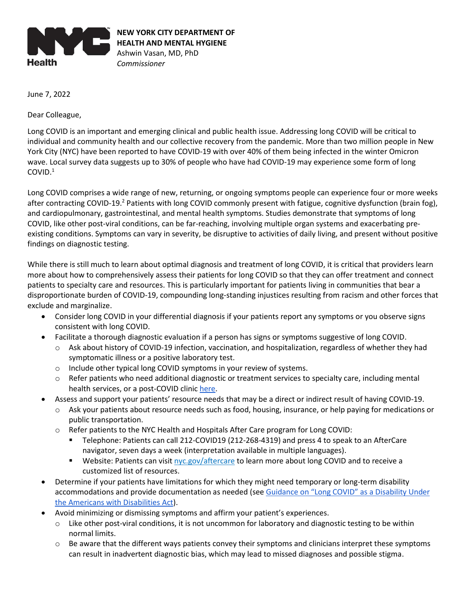

June 7, 2022

Dear Colleague,

Long COVID is an important and emerging clinical and public health issue. Addressing long COVID will be critical to individual and community health and our collective recovery from the pandemic. More than two million people in New York City (NYC) have been reported to have COVID-19 with over 40% of them being infected in the winter Omicron wave. Local survey data suggests up to 30% of people who have had COVID-19 may experience some form of long COVID.<sup>1</sup>

Long COVID comprises a wide range of new, returning, or ongoing symptoms people can experience four or more weeks after contracting COVID-19.<sup>2</sup> Patients with long COVID commonly present with fatigue, cognitive dysfunction (brain fog), and cardiopulmonary, gastrointestinal, and mental health symptoms. Studies demonstrate that symptoms of long COVID, like other post-viral conditions, can be far-reaching, involving multiple organ systems and exacerbating preexisting conditions. Symptoms can vary in severity, be disruptive to activities of daily living, and present without positive findings on diagnostic testing.

While there is still much to learn about optimal diagnosis and treatment of long COVID, it is critical that providers learn more about how to comprehensively assess their patients for long COVID so that they can offer treatment and connect patients to specialty care and resources. This is particularly important for patients living in communities that bear a disproportionate burden of COVID-19, compounding long-standing injustices resulting from racism and other forces that exclude and marginalize.

- Consider long COVID in your differential diagnosis if your patients report any symptoms or you observe signs consistent with long COVID.
- Facilitate a thorough diagnostic evaluation if a person has signs or symptoms suggestive of long COVID.
	- o Ask about history of COVID-19 infection, vaccination, and hospitalization, regardless of whether they had symptomatic illness or a positive laboratory test.
	- o Include other typical long COVID symptoms in your review of systems.
	- o Refer patients who need additional diagnostic or treatment services to specialty care, including mental health services, or a post-COVID clinic [here.](https://www1.nyc.gov/assets/doh/downloads/pdf/covid/covid-19-care-clinics.pdf)
	- Assess and support your patients' resource needs that may be a direct or indirect result of having COVID-19.
		- Ask your patients about resource needs such as food, housing, insurance, or help paying for medications or public transportation.
		- $\circ$  Refer patients to the NYC Health and Hospitals After Care program for Long COVID:
			- Telephone: Patients can call 212-COVID19 (212-268-4319) and press 4 to speak to an AfterCare navigator, seven days a week (interpretation available in multiple languages).
			- **■** Website: Patients can visit [nyc.gov/aftercare](https://www.nychealthandhospitals.org/test-and-trace/after-care) to learn more about long COVID and to receive a customized list of resources.
- Determine if your patients have limitations for which they might need temporary or long-term disability accommodations and provide documentation as needed (see [Guidance on "Long COVID" as a Disabil](https://www.hhs.gov/civil-rights/for-providers/civil-rights-covid19/guidance-long-covid-disability/index.html)ity Under [the Americans with Disabilities Act\)](https://www.hhs.gov/civil-rights/for-providers/civil-rights-covid19/guidance-long-covid-disability/index.html).
- Avoid minimizing or dismissing symptoms and affirm your patient's experiences.
	- o Like other post-viral conditions, it is not uncommon for laboratory and diagnostic testing to be within normal limits.
	- $\circ$  Be aware that the different ways patients convey their symptoms and clinicians interpret these symptoms can result in inadvertent diagnostic bias, which may lead to missed diagnoses and possible stigma.